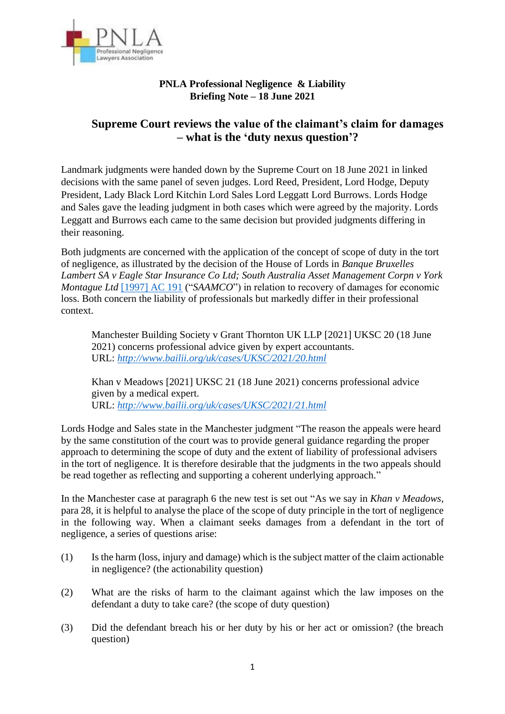

## **PNLA Professional Negligence & Liability Briefing Note – 18 June 2021**

## **Supreme Court reviews the value of the claimant's claim for damages – what is the 'duty nexus question'?**

Landmark judgments were handed down by the Supreme Court on 18 June 2021 in linked decisions with the same panel of seven judges. Lord Reed, President, Lord Hodge, Deputy President, Lady Black Lord Kitchin Lord Sales Lord Leggatt Lord Burrows. Lords Hodge and Sales gave the leading judgment in both cases which were agreed by the majority. Lords Leggatt and Burrows each came to the same decision but provided judgments differing in their reasoning.

Both judgments are concerned with the application of the concept of scope of duty in the tort of negligence, as illustrated by the decision of the House of Lords in *Banque Bruxelles Lambert SA v Eagle Star Insurance Co Ltd; South Australia Asset Management Corpn v York Montague Ltd* [\[1997\] AC 191](https://www.bailii.org/cgi-bin/redirect.cgi?path=/uk/cases/UKHL/1996/10.html) ("*SAAMCO*") in relation to recovery of damages for economic loss. Both concern the liability of professionals but markedly differ in their professional context.

Manchester Building Society v Grant Thornton UK LLP [2021] UKSC 20 (18 June 2021) concerns professional advice given by expert accountants. URL: *<http://www.bailii.org/uk/cases/UKSC/2021/20.html>*

Khan v Meadows [2021] UKSC 21 (18 June 2021) concerns professional advice given by a medical expert. URL: *<http://www.bailii.org/uk/cases/UKSC/2021/21.html>*

Lords Hodge and Sales state in the Manchester judgment "The reason the appeals were heard by the same constitution of the court was to provide general guidance regarding the proper approach to determining the scope of duty and the extent of liability of professional advisers in the tort of negligence. It is therefore desirable that the judgments in the two appeals should be read together as reflecting and supporting a coherent underlying approach."

In the Manchester case at paragraph 6 the new test is set out "As we say in *Khan v Meadows*, para 28, it is helpful to analyse the place of the scope of duty principle in the tort of negligence in the following way. When a claimant seeks damages from a defendant in the tort of negligence, a series of questions arise:

- (1) Is the harm (loss, injury and damage) which is the subject matter of the claim actionable in negligence? (the actionability question)
- (2) What are the risks of harm to the claimant against which the law imposes on the defendant a duty to take care? (the scope of duty question)
- (3) Did the defendant breach his or her duty by his or her act or omission? (the breach question)